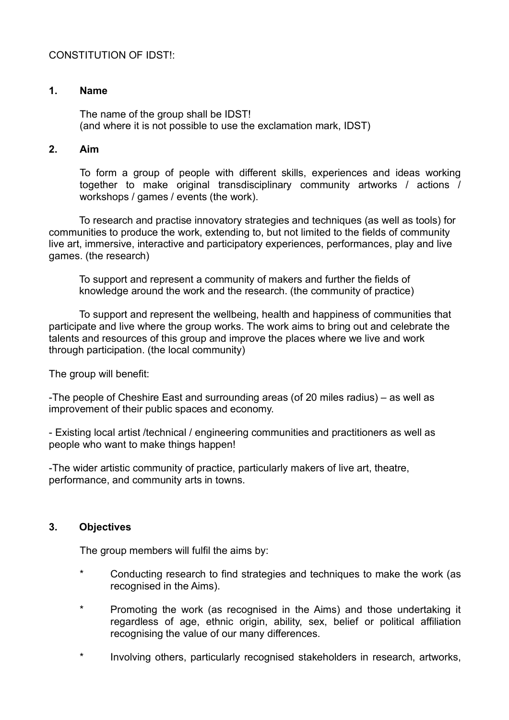## CONSTITUTION OF IDST!:

## **1. Name**

The name of the group shall be IDST! (and where it is not possible to use the exclamation mark, IDST)

## **2. Aim**

To form a group of people with different skills, experiences and ideas working together to make original transdisciplinary community artworks / actions / workshops / games / events (the work).

To research and practise innovatory strategies and techniques (as well as tools) for communities to produce the work, extending to, but not limited to the fields of community live art, immersive, interactive and participatory experiences, performances, play and live games. (the research)

To support and represent a community of makers and further the fields of knowledge around the work and the research. (the community of practice)

To support and represent the wellbeing, health and happiness of communities that participate and live where the group works. The work aims to bring out and celebrate the talents and resources of this group and improve the places where we live and work through participation. (the local community)

The group will benefit:

-The people of Cheshire East and surrounding areas (of 20 miles radius) – as well as improvement of their public spaces and economy.

- Existing local artist /technical / engineering communities and practitioners as well as people who want to make things happen!

-The wider artistic community of practice, particularly makers of live art, theatre, performance, and community arts in towns.

## **3. Objectives**

The group members will fulfil the aims by:

- Conducting research to find strategies and techniques to make the work (as recognised in the Aims).
- \* Promoting the work (as recognised in the Aims) and those undertaking it regardless of age, ethnic origin, ability, sex, belief or political affiliation recognising the value of our many differences.
- Involving others, particularly recognised stakeholders in research, artworks,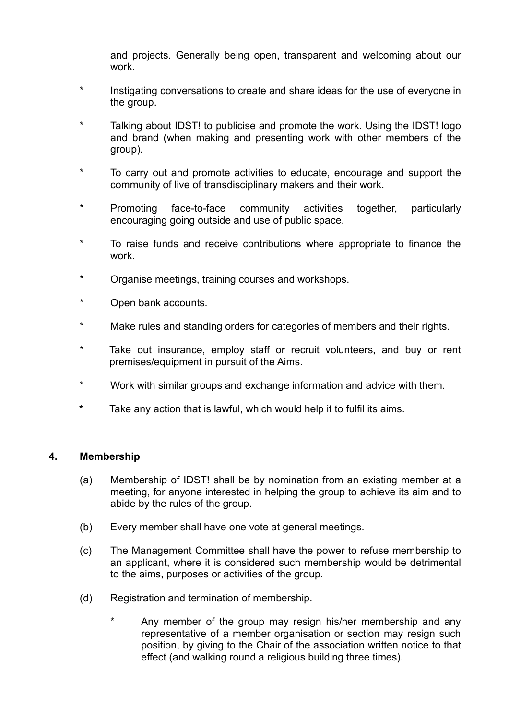and projects. Generally being open, transparent and welcoming about our work.

- \* Instigating conversations to create and share ideas for the use of everyone in the group.
- \* Talking about IDST! to publicise and promote the work. Using the IDST! logo and brand (when making and presenting work with other members of the group).
- To carry out and promote activities to educate, encourage and support the community of live of transdisciplinary makers and their work.
- Promoting face-to-face community activities together, particularly encouraging going outside and use of public space.
- \* To raise funds and receive contributions where appropriate to finance the work.
- \* Organise meetings, training courses and workshops.
- \* Open bank accounts.
- \* Make rules and standing orders for categories of members and their rights.
- Take out insurance, employ staff or recruit volunteers, and buy or rent premises/equipment in pursuit of the Aims.
- \* Work with similar groups and exchange information and advice with them.
- **\*** Take any action that is lawful, which would help it to fulfil its aims.

## **4. Membership**

- (a) Membership of IDST! shall be by nomination from an existing member at a meeting, for anyone interested in helping the group to achieve its aim and to abide by the rules of the group.
- (b) Every member shall have one vote at general meetings.
- (c) The Management Committee shall have the power to refuse membership to an applicant, where it is considered such membership would be detrimental to the aims, purposes or activities of the group.
- (d) Registration and termination of membership.
	- \* Any member of the group may resign his/her membership and any representative of a member organisation or section may resign such position, by giving to the Chair of the association written notice to that effect (and walking round a religious building three times).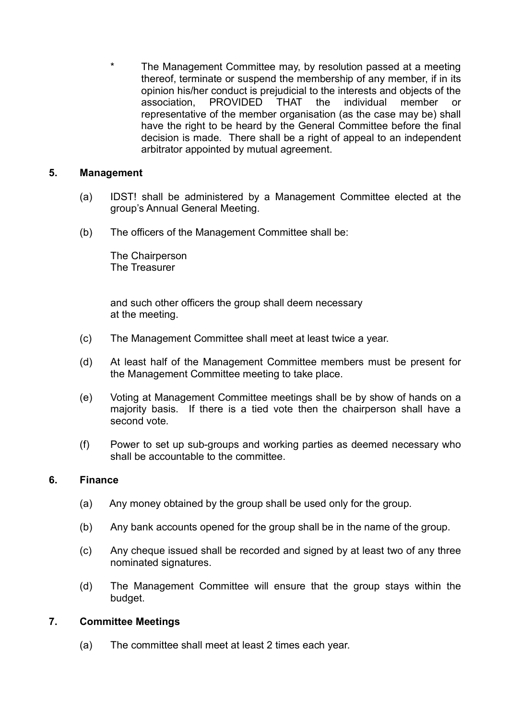\* The Management Committee may, by resolution passed at a meeting thereof, terminate or suspend the membership of any member, if in its opinion his/her conduct is prejudicial to the interests and objects of the association, PROVIDED THAT the individual member or representative of the member organisation (as the case may be) shall have the right to be heard by the General Committee before the final decision is made. There shall be a right of appeal to an independent arbitrator appointed by mutual agreement.

## **5. Management**

- (a) IDST! shall be administered by a Management Committee elected at the group's Annual General Meeting.
- (b) The officers of the Management Committee shall be:

The Chairperson The Treasurer

and such other officers the group shall deem necessary at the meeting.

- (c) The Management Committee shall meet at least twice a year.
- (d) At least half of the Management Committee members must be present for the Management Committee meeting to take place.
- (e) Voting at Management Committee meetings shall be by show of hands on a majority basis. If there is a tied vote then the chairperson shall have a second vote.
- (f) Power to set up sub-groups and working parties as deemed necessary who shall be accountable to the committee.

## **6. Finance**

- (a) Any money obtained by the group shall be used only for the group.
- (b) Any bank accounts opened for the group shall be in the name of the group.
- (c) Any cheque issued shall be recorded and signed by at least two of any three nominated signatures.
- (d) The Management Committee will ensure that the group stays within the budget.

#### **7. Committee Meetings**

(a) The committee shall meet at least 2 times each year.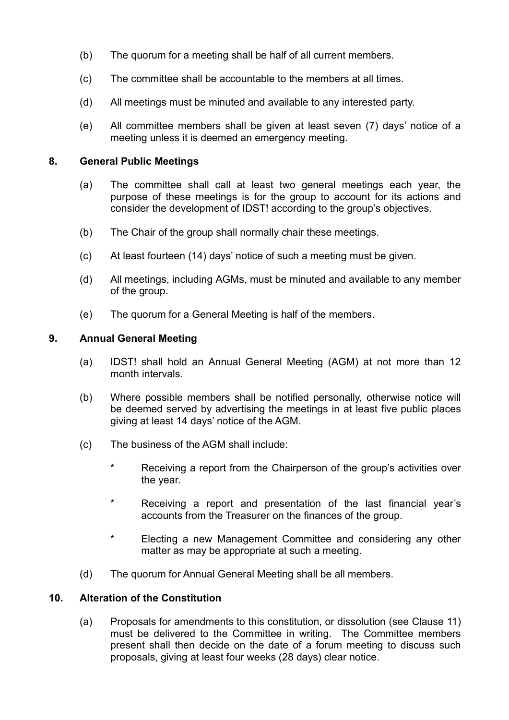- (b) The quorum for a meeting shall be half of all current members.
- (c) The committee shall be accountable to the members at all times.
- (d) All meetings must be minuted and available to any interested party.
- (e) All committee members shall be given at least seven (7) days' notice of a meeting unless it is deemed an emergency meeting.

## **8. General Public Meetings**

- (a) The committee shall call at least two general meetings each year, the purpose of these meetings is for the group to account for its actions and consider the development of IDST! according to the group's objectives.
- (b) The Chair of the group shall normally chair these meetings.
- (c) At least fourteen (14) days' notice of such a meeting must be given.
- (d) All meetings, including AGMs, must be minuted and available to any member of the group.
- (e) The quorum for a General Meeting is half of the members.

## **9. Annual General Meeting**

- (a) IDST! shall hold an Annual General Meeting (AGM) at not more than 12 month intervals.
- (b) Where possible members shall be notified personally, otherwise notice will be deemed served by advertising the meetings in at least five public places giving at least 14 days' notice of the AGM.
- (c) The business of the AGM shall include:
	- \* Receiving a report from the Chairperson of the group's activities over the year.
	- \* Receiving a report and presentation of the last financial year's accounts from the Treasurer on the finances of the group.
	- \* Electing a new Management Committee and considering any other matter as may be appropriate at such a meeting.
- (d) The quorum for Annual General Meeting shall be all members.

## **10. Alteration of the Constitution**

(a) Proposals for amendments to this constitution, or dissolution (see Clause 11) must be delivered to the Committee in writing. The Committee members present shall then decide on the date of a forum meeting to discuss such proposals, giving at least four weeks (28 days) clear notice.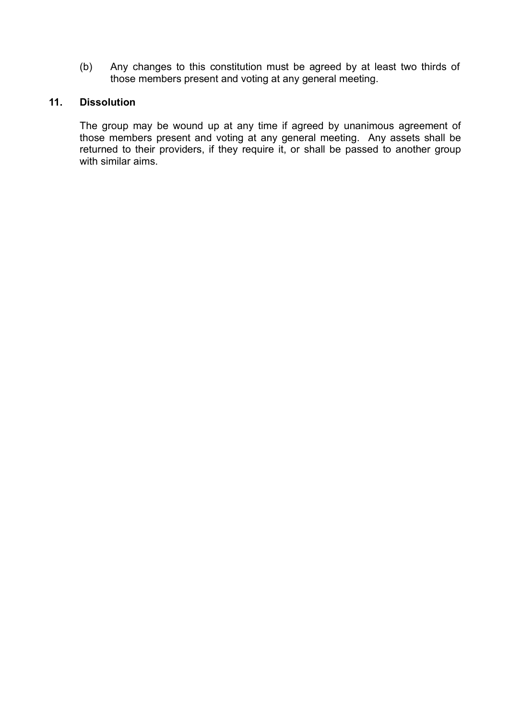(b) Any changes to this constitution must be agreed by at least two thirds of those members present and voting at any general meeting.

## **11. Dissolution**

The group may be wound up at any time if agreed by unanimous agreement of those members present and voting at any general meeting. Any assets shall be returned to their providers, if they require it, or shall be passed to another group with similar aims.